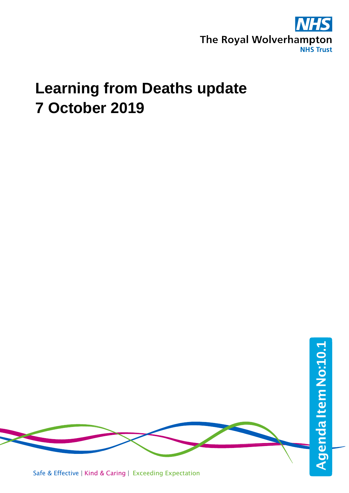

# **Learning from Deaths update 7 October 2019**



Safe & Effective | Kind & Caring | Exceeding Expectation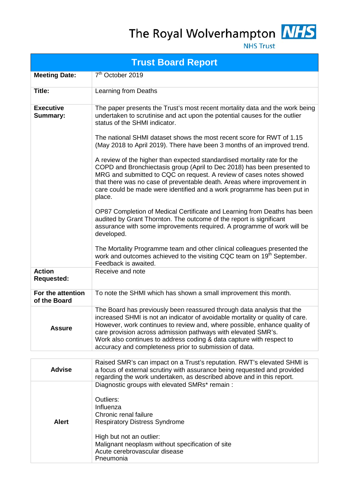The Royal Wolverhampton MHS



**NHS Trust** 

|                                     | <b>Trust Board Report</b>                                                                                                                                                                                                                                                                                                                                                                                                                                                                                                                                                                                                                                                                                                                                                                                                                                                                                                                                                                                                                                                                                                                                   |
|-------------------------------------|-------------------------------------------------------------------------------------------------------------------------------------------------------------------------------------------------------------------------------------------------------------------------------------------------------------------------------------------------------------------------------------------------------------------------------------------------------------------------------------------------------------------------------------------------------------------------------------------------------------------------------------------------------------------------------------------------------------------------------------------------------------------------------------------------------------------------------------------------------------------------------------------------------------------------------------------------------------------------------------------------------------------------------------------------------------------------------------------------------------------------------------------------------------|
| <b>Meeting Date:</b>                | 7 <sup>th</sup> October 2019                                                                                                                                                                                                                                                                                                                                                                                                                                                                                                                                                                                                                                                                                                                                                                                                                                                                                                                                                                                                                                                                                                                                |
| Title:                              | Learning from Deaths                                                                                                                                                                                                                                                                                                                                                                                                                                                                                                                                                                                                                                                                                                                                                                                                                                                                                                                                                                                                                                                                                                                                        |
| <b>Executive</b><br><b>Summary:</b> | The paper presents the Trust's most recent mortality data and the work being<br>undertaken to scrutinise and act upon the potential causes for the outlier<br>status of the SHMI indicator.<br>The national SHMI dataset shows the most recent score for RWT of 1.15<br>(May 2018 to April 2019). There have been 3 months of an improved trend.<br>A review of the higher than expected standardised mortality rate for the<br>COPD and Bronchiectasis group (April to Dec 2018) has been presented to<br>MRG and submitted to CQC on request. A review of cases notes showed<br>that there was no case of preventable death. Areas where improvement in<br>care could be made were identified and a work programme has been put in<br>place.<br>OP87 Completion of Medical Certificate and Learning from Deaths has been<br>audited by Grant Thornton. The outcome of the report is significant<br>assurance with some improvements required. A programme of work will be<br>developed.<br>The Mortality Programme team and other clinical colleagues presented the<br>work and outcomes achieved to the visiting CQC team on 19 <sup>th</sup> September. |
| <b>Action</b><br><b>Requested:</b>  | Feedback is awaited.<br>Receive and note                                                                                                                                                                                                                                                                                                                                                                                                                                                                                                                                                                                                                                                                                                                                                                                                                                                                                                                                                                                                                                                                                                                    |
| For the attention<br>of the Board   | To note the SHMI which has shown a small improvement this month.                                                                                                                                                                                                                                                                                                                                                                                                                                                                                                                                                                                                                                                                                                                                                                                                                                                                                                                                                                                                                                                                                            |
| Assure                              | The Board has previously been reassured through data analysis that the<br>increased SHMI is not an indicator of avoidable mortality or quality of care.<br>However, work continues to review and, where possible, enhance quality of<br>care provision across admission pathways with elevated SMR's.<br>Work also continues to address coding & data capture with respect to<br>accuracy and completeness prior to submission of data.                                                                                                                                                                                                                                                                                                                                                                                                                                                                                                                                                                                                                                                                                                                     |
| <b>Advise</b>                       | Raised SMR's can impact on a Trust's reputation. RWT's elevated SHMI is<br>a focus of external scrutiny with assurance being requested and provided<br>regarding the work undertaken, as described above and in this report.                                                                                                                                                                                                                                                                                                                                                                                                                                                                                                                                                                                                                                                                                                                                                                                                                                                                                                                                |
| <b>Alert</b>                        | Diagnostic groups with elevated SMRs* remain:<br>Outliers:<br>Influenza<br>Chronic renal failure<br><b>Respiratory Distress Syndrome</b><br>High but not an outlier:<br>Malignant neoplasm without specification of site<br>Acute cerebrovascular disease<br>Pneumonia                                                                                                                                                                                                                                                                                                                                                                                                                                                                                                                                                                                                                                                                                                                                                                                                                                                                                      |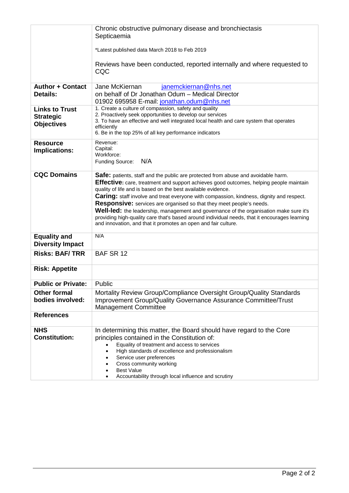|                                                                | Chronic obstructive pulmonary disease and bronchiectasis<br>Septicaemia                                                                                                                                                                                                                                                                                                                                                                                                                                                                                                                                                                                                                           |
|----------------------------------------------------------------|---------------------------------------------------------------------------------------------------------------------------------------------------------------------------------------------------------------------------------------------------------------------------------------------------------------------------------------------------------------------------------------------------------------------------------------------------------------------------------------------------------------------------------------------------------------------------------------------------------------------------------------------------------------------------------------------------|
|                                                                | *Latest published data March 2018 to Feb 2019                                                                                                                                                                                                                                                                                                                                                                                                                                                                                                                                                                                                                                                     |
|                                                                | Reviews have been conducted, reported internally and where requested to<br>CQC                                                                                                                                                                                                                                                                                                                                                                                                                                                                                                                                                                                                                    |
| <b>Author + Contact</b><br><b>Details:</b>                     | Jane McKiernan<br>janemckiernan@nhs.net<br>on behalf of Dr Jonathan Odum - Medical Director<br>01902 695958 E-mail: jonathan.odum@nhs.net                                                                                                                                                                                                                                                                                                                                                                                                                                                                                                                                                         |
| <b>Links to Trust</b><br><b>Strategic</b><br><b>Objectives</b> | 1. Create a culture of compassion, safety and quality<br>2. Proactively seek opportunities to develop our services<br>3. To have an effective and well integrated local health and care system that operates<br>efficiently<br>6. Be in the top 25% of all key performance indicators                                                                                                                                                                                                                                                                                                                                                                                                             |
| <b>Resource</b><br><b>Implications:</b>                        | Revenue:<br>Capital:<br>Workforce:<br>N/A<br>Funding Source:                                                                                                                                                                                                                                                                                                                                                                                                                                                                                                                                                                                                                                      |
| <b>CQC Domains</b>                                             | Safe: patients, staff and the public are protected from abuse and avoidable harm.<br>Effective: care, treatment and support achieves good outcomes, helping people maintain<br>quality of life and is based on the best available evidence.<br><b>Caring:</b> staff involve and treat everyone with compassion, kindness, dignity and respect.<br><b>Responsive:</b> services are organised so that they meet people's needs.<br><b>Well-led:</b> the leadership, management and governance of the organisation make sure it's<br>providing high-quality care that's based around individual needs, that it encourages learning<br>and innovation, and that it promotes an open and fair culture. |
| <b>Equality and</b><br><b>Diversity Impact</b>                 | N/A                                                                                                                                                                                                                                                                                                                                                                                                                                                                                                                                                                                                                                                                                               |
| <b>Risks: BAF/TRR</b>                                          | BAF SR 12                                                                                                                                                                                                                                                                                                                                                                                                                                                                                                                                                                                                                                                                                         |
| <b>Risk: Appetite</b>                                          |                                                                                                                                                                                                                                                                                                                                                                                                                                                                                                                                                                                                                                                                                                   |
| <b>Public or Private:</b>                                      | Public                                                                                                                                                                                                                                                                                                                                                                                                                                                                                                                                                                                                                                                                                            |
| <b>Other formal</b><br>bodies involved:                        | Mortality Review Group/Compliance Oversight Group/Quality Standards<br>Improvement Group/Quality Governance Assurance Committee/Trust<br><b>Management Committee</b>                                                                                                                                                                                                                                                                                                                                                                                                                                                                                                                              |
| <b>References</b>                                              |                                                                                                                                                                                                                                                                                                                                                                                                                                                                                                                                                                                                                                                                                                   |
| <b>NHS</b><br><b>Constitution:</b>                             | In determining this matter, the Board should have regard to the Core<br>principles contained in the Constitution of:<br>Equality of treatment and access to services<br>High standards of excellence and professionalism<br>Service user preferences<br>Cross community working<br><b>Best Value</b><br>Accountability through local influence and scrutiny                                                                                                                                                                                                                                                                                                                                       |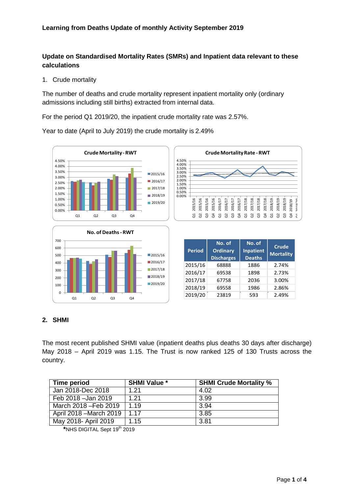### **Update on Standardised Mortality Rates (SMRs) and Inpatient data relevant to these calculations**

1. Crude mortality

The number of deaths and crude mortality represent inpatient mortality only (ordinary admissions including still births) extracted from internal data.

For the period Q1 2019/20, the inpatient crude mortality rate was 2.57%.

Year to date (April to July 2019) the crude mortality is 2.49%





| <b>Period</b> | No. of<br><b>Ordinary</b><br><b>Discharges</b> | No. of<br><b>Inpatient</b><br><b>Deaths</b> | <b>Crude</b><br><b>Mortality</b> |
|---------------|------------------------------------------------|---------------------------------------------|----------------------------------|
| 2015/16       | 68888                                          | 1886                                        | 2.74%                            |
| 2016/17       | 69538                                          | 1898                                        | 2.73%                            |
| 2017/18       | 67758                                          | 2036                                        | 3.00%                            |
| 2018/19       | 69558                                          | 1986                                        | 2.86%                            |
| 2019/20       | 23819                                          | 593                                         | 2.49%                            |

Q4 2017/18 Q1 2018/19 Q2 2018/19 Q3 2018/19 Q4 2018/19 Q1 2019/20

2018/19<br>2018/19<br>2018/19

nnarnn  $_{\rm e}$ 2018/1

#### **2. SHMI**

The most recent published SHMI value (inpatient deaths plus deaths 30 days after discharge) May 2018 – April 2019 was 1.15. The Trust is now ranked 125 of 130 Trusts across the country.

| Time period             | <b>SHMI Value *</b> | <b>SHMI Crude Mortality %</b> |
|-------------------------|---------------------|-------------------------------|
| Jan 2018-Dec 2018       | 1.21                | 4.02                          |
| Feb 2018 - Jan 2019     | 1.21                | 3.99                          |
| March 2018 - Feb 2019   | 1.19                | 3.94                          |
| April 2018 – March 2019 | 1.17                | 3.85                          |
| May 2018- April 2019    | 1.15                | 3.81                          |

**<sup>\*</sup>**NHS DIGITAL Sept 19th 2019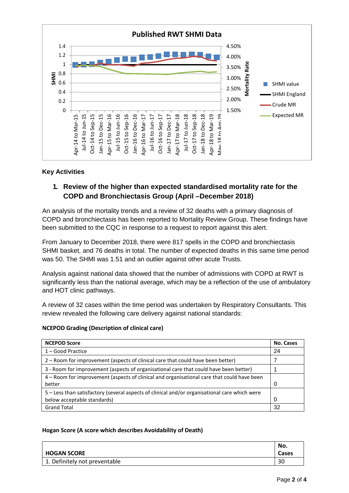

#### **Key Activities**

## **1. Review of the higher than expected standardised mortality rate for the COPD and Bronchiectasis Group (April –December 2018)**

An analysis of the mortality trends and a review of 32 deaths with a primary diagnosis of COPD and bronchiectasis has been reported to Mortality Review Group. These findings have been submitted to the CQC in response to a request to report against this alert.

From January to December 2018, there were 817 spells in the COPD and bronchiectasis SHMI basket, and 76 deaths in total. The number of expected deaths in this same time period was 50. The SHMI was 1.51 and an outlier against other acute Trusts.

Analysis against national data showed that the number of admissions with COPD at RWT is significantly less than the national average, which may be a reflection of the use of ambulatory and HOT clinic pathways.

A review of 32 cases within the time period was undertaken by Respiratory Consultants. This review revealed the following care delivery against national standards:

#### **NCEPOD Grading (Description of clinical care)**

| <b>NCEPOD Score</b>                                                                                  | No. Cases |
|------------------------------------------------------------------------------------------------------|-----------|
| $1 - Good Practice$                                                                                  | 24        |
| 2 - Room for improvement (aspects of clinical care that could have been better)                      |           |
| 3 - Room for improvement (aspects of organisational care that could have been better)                |           |
| 4 – Room for improvement (aspects of clinical and organisational care that could have been<br>better | 0         |
| 5 - Less than satisfactory (several aspects of clinical and/or organisational care which were        |           |
| below acceptable standards)                                                                          | 0         |
| <b>Grand Total</b>                                                                                   | 32        |

#### **Hogan Score (A score which describes Avoidability of Death)**

| <b>HOGAN SCORE</b>            | No.<br>Cases |
|-------------------------------|--------------|
| 1. Definitely not preventable | 30           |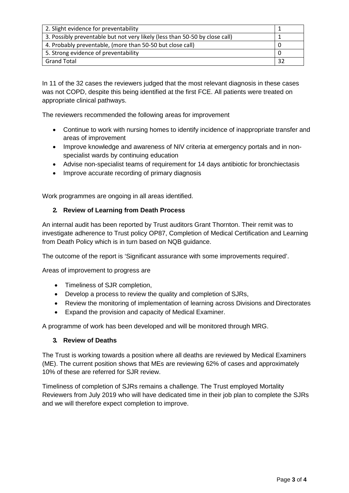| 2. Slight evidence for preventability                                       |    |
|-----------------------------------------------------------------------------|----|
| 3. Possibly preventable but not very likely (less than 50-50 by close call) |    |
| 4. Probably preventable, (more than 50-50 but close call)                   |    |
| 5. Strong evidence of preventability                                        |    |
| <b>Grand Total</b>                                                          | 32 |

In 11 of the 32 cases the reviewers judged that the most relevant diagnosis in these cases was not COPD, despite this being identified at the first FCE. All patients were treated on appropriate clinical pathways.

The reviewers recommended the following areas for improvement

- Continue to work with nursing homes to identify incidence of inappropriate transfer and areas of improvement
- Improve knowledge and awareness of NIV criteria at emergency portals and in nonspecialist wards by continuing education
- Advise non-specialist teams of requirement for 14 days antibiotic for bronchiectasis
- Improve accurate recording of primary diagnosis

Work programmes are ongoing in all areas identified.

#### **2. Review of Learning from Death Process**

An internal audit has been reported by Trust auditors Grant Thornton. Their remit was to investigate adherence to Trust policy OP87, Completion of Medical Certification and Learning from Death Policy which is in turn based on NQB guidance.

The outcome of the report is 'Significant assurance with some improvements required'.

Areas of improvement to progress are

- Timeliness of SJR completion,
- Develop a process to review the quality and completion of SJRs,
- Review the monitoring of implementation of learning across Divisions and Directorates
- Expand the provision and capacity of Medical Examiner.

A programme of work has been developed and will be monitored through MRG.

#### **3. Review of Deaths**

The Trust is working towards a position where all deaths are reviewed by Medical Examiners (ME). The current position shows that MEs are reviewing 62% of cases and approximately 10% of these are referred for SJR review.

Timeliness of completion of SJRs remains a challenge. The Trust employed Mortality Reviewers from July 2019 who will have dedicated time in their job plan to complete the SJRs and we will therefore expect completion to improve.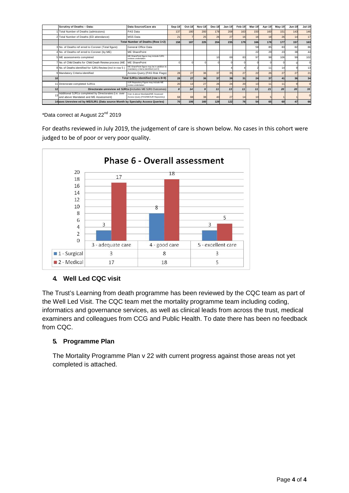|    | Scrutiny of Deaths - Data:                                                                     | Data Source/Cave ats                                                                | $Sep-18$ | Oct-18 | <b>Nov-18</b> | Dec-18 | Jan-19 | Feb-19 | Mar-19 | Apr-19 | May-19 | <b>Jun-19</b> | Jul-19 |
|----|------------------------------------------------------------------------------------------------|-------------------------------------------------------------------------------------|----------|--------|---------------|--------|--------|--------|--------|--------|--------|---------------|--------|
|    | Total Number of Deaths (admissions)                                                            | PAS Data                                                                            | 137      | 180    | 200           | 178    | 208    | 163    | 150    | 160    | 151    | 143           | 146    |
|    | 2 Total Number of Deaths (ED attendance)                                                       | <b>MSS Data</b>                                                                     | 21       |        | 25            | 26     | 27     | 16     | 16     |        | 26     |               | 17     |
|    |                                                                                                | Total Number of Deaths (Row 1+2)                                                    | 158      | 187    | 225           | 204    | 235    | 179    | 166    | 178    | 177    | 157           | 163    |
|    | 3 No. of Deaths ref erred to Coroner (Total figure)                                            | General Office Data                                                                 |          |        |               |        |        |        | 59     | 85     | 83     | 82            | 86     |
|    | 4 No. of Deaths ref erred to Coroner (by ME)                                                   | <b>ME SharePoint</b>                                                                |          |        |               |        |        |        | 22     |        | 23     | 38            | 44     |
|    | 5 ME assessments completed                                                                     | ME SharePoint figure may include SJR1<br>reviews undertaken                         |          |        |               |        | 69     | 83     | 97     | 98     | 106    | 99            | 102    |
|    | 7 No. of Child Deaths for Child Death Review process (ME                                       | <b>ME SharePoint</b>                                                                |          |        |               |        |        |        |        |        |        |               |        |
|    | 8 No. of Deaths identified for SJR1 Review (incl in row 5)                                     | ME SharePoint figure may be in addition to<br>mandatory criteria identified (col 9) |          |        |               |        |        |        |        |        |        |               | 13     |
|    | 9 Mandatory Criteria identified                                                                | Access Query (PAS Risk Flags)                                                       | 28       | 27     | 36            | 37     | 35     | 27     | 22     | 26     | 27     | 27            | 21     |
|    |                                                                                                | Total SJR1s Identified (row s 8+9)                                                  | 28       | 27     | 36            | 37     | 39     | 31     | 24     | 37     | 41     | 36            | 34     |
|    | 11 Directorate completed SJR1s                                                                 | SJR Repository Figure may include ME<br>review undertaken                           | 20       |        | 27            | 26     | 24     | 20     | 13     |        |        |               |        |
| 12 |                                                                                                | Directorate unreview ed SJR1s (includes ME SJR1 Outcomes)                           |          | 14     |               | 11     | 13     | 11     | 11     | 21     | 20     | 20            | 33     |
|    | Additional SJR1s completed by Directorates (i.e. over<br>and above Mandated and ME Assessment) | Over & above Mandated/ME Assessed<br>Access Query (PAS/ME/SJR Repository)           | 68       | 68     | 38            | 4(     | 27     | 14     | 10     |        |        |               |        |
|    | 14 ases Unreview ed by ME/SJR1 (Data source Month by Specialty Access Queries)                 |                                                                                     | 70       | 106    | 160           | 129    | 122    | 76     | 54     | 65     | 60     |               | 66     |

\*Data correct at August 22nd 2019

For deaths reviewed in July 2019, the judgement of care is shown below. No cases in this cohort were judged to be of poor or very poor quality.



## **4. Well Led CQC visit**

The Trust's Learning from death programme has been reviewed by the CQC team as part of the Well Led Visit. The CQC team met the mortality programme team including coding, informatics and governance services, as well as clinical leads from across the trust, medical examiners and colleagues from CCG and Public Health. To date there has been no feedback from CQC.

### **5. Programme Plan**

The Mortality Programme Plan v 22 with current progress against those areas not yet completed is attached.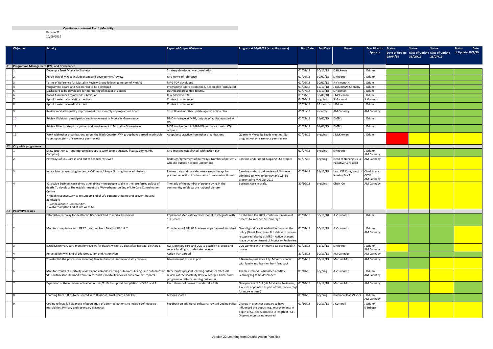#### **Quality Improvement Plan 1 (Mortality)**

Version 22 10/09/2019

| Objective                                   | <b>Activity</b>                                                                                                                                                                                                                                                                                                                                                               | <b>Expected Output/Outcome</b>                                                                                                                     | Progress at 10/09/19 (exceptions only)                                                                                                                            | <b>Start Date</b> | <b>End Date</b> | Owner                                              | <b>Exec Director Status</b> | 29/04/19 | <b>Status</b><br>31/05/19 | <b>Status</b><br>Date of Update Date of Update Date of Update<br>26/07/19 | Date<br><b>Status</b><br>of Update 10/9/19 |
|---------------------------------------------|-------------------------------------------------------------------------------------------------------------------------------------------------------------------------------------------------------------------------------------------------------------------------------------------------------------------------------------------------------------------------------|----------------------------------------------------------------------------------------------------------------------------------------------------|-------------------------------------------------------------------------------------------------------------------------------------------------------------------|-------------------|-----------------|----------------------------------------------------|-----------------------------|----------|---------------------------|---------------------------------------------------------------------------|--------------------------------------------|
| A1 Programme Management (PM) and Governance |                                                                                                                                                                                                                                                                                                                                                                               |                                                                                                                                                    |                                                                                                                                                                   |                   |                 |                                                    |                             |          |                           |                                                                           |                                            |
|                                             | Develop a Trust Mortality Strategy                                                                                                                                                                                                                                                                                                                                            | Strategy developed via consultation                                                                                                                |                                                                                                                                                                   | 01/09/18          | 30/11/18        | D Hickman                                          | l Odum/                     |          |                           |                                                                           |                                            |
|                                             | Agree TOR of MIG to include scope and development/review                                                                                                                                                                                                                                                                                                                      | MIG terms of reference                                                                                                                             |                                                                                                                                                                   | 01/06/18          | 30/07/18        | Roberts                                            | l Odum/                     |          |                           |                                                                           |                                            |
|                                             | Ferms of Reference for Mortality Review Group following merger of MoRAG                                                                                                                                                                                                                                                                                                       | MRG TOR developed                                                                                                                                  |                                                                                                                                                                   | 01/06/18          | 30/07/18        | A Viswanath                                        | J Odum                      |          |                           |                                                                           |                                            |
|                                             | Programme Board and Action Plan to be developed                                                                                                                                                                                                                                                                                                                               | Programme Board established. Action plan formulated                                                                                                |                                                                                                                                                                   | 01/08/18          | 15/10/18        | J Odum/AM Cannaby                                  | J Odum                      |          |                           |                                                                           |                                            |
|                                             | Dashboard to be developed for monitoring of impact of actions                                                                                                                                                                                                                                                                                                                 | Dashboard presented to MRG                                                                                                                         |                                                                                                                                                                   | 01/07/18          | 15/10/18        | S Hickman                                          | l Odum                      |          |                           |                                                                           |                                            |
|                                             | Board Assurance Framework submission                                                                                                                                                                                                                                                                                                                                          | Risk added to BAF                                                                                                                                  |                                                                                                                                                                   | 01/08/18          | 30/08/18        | McKiernan                                          | l Odum                      |          |                           |                                                                           |                                            |
|                                             | Appoint external analytic expertise                                                                                                                                                                                                                                                                                                                                           | Contract commenced                                                                                                                                 |                                                                                                                                                                   | 04/10/18          | ongoing         | S Mahmud                                           | S Mahmud                    |          |                           |                                                                           |                                            |
|                                             | Appoint external medical expert                                                                                                                                                                                                                                                                                                                                               | Contract commenced                                                                                                                                 |                                                                                                                                                                   | 17/09/18          | 12 months       | J Odum                                             | l Odum                      |          |                           |                                                                           |                                            |
|                                             | Review mortality quality improvement plan monthly at programme board                                                                                                                                                                                                                                                                                                          | Trust Board monthly update against action plan                                                                                                     |                                                                                                                                                                   | 05/11/18          | monthly         | AM Cannaby                                         | AM Cannaby                  |          |                           |                                                                           |                                            |
|                                             | Review Divisional participation and involvement in Mortality Governance                                                                                                                                                                                                                                                                                                       | DMD influence at MRG, outputs of audits reported at                                                                                                |                                                                                                                                                                   | 01/03/19          | 31/07/19        | DMD's                                              | J Odum                      |          |                           |                                                                           |                                            |
|                                             | Review Directorate participation and involvement in Mortality Governance                                                                                                                                                                                                                                                                                                      | MDT involvement in M&M/Governance meets, CQI<br>outputs                                                                                            |                                                                                                                                                                   | 01/03/19          | 01/06/19        | DMD's                                              | l Odum                      |          |                           |                                                                           |                                            |
| 12                                          | Work with other organisations across the Black Country. WM group have agreed in principle<br>to set up a sytem of case note peer review                                                                                                                                                                                                                                       | Adopt best practice from other organisations                                                                                                       | Quarterly Mortality Leads meeting. No<br>progress yet on case note peer review                                                                                    | 01/04/19          | ongoing         | McKiernan                                          | l Odum                      |          |                           |                                                                           |                                            |
| <b>City wide programme</b>                  |                                                                                                                                                                                                                                                                                                                                                                               |                                                                                                                                                    |                                                                                                                                                                   |                   |                 |                                                    |                             |          |                           |                                                                           |                                            |
|                                             | Draw together current interested groups to work to one strategy (Acute, Comm, PH,<br>Compton)                                                                                                                                                                                                                                                                                 | MIG meeting established, with action plan                                                                                                          |                                                                                                                                                                   | 01/07/18          | ongoing         | S Roberts                                          | l Odum/<br>AM Cannaby       |          |                           |                                                                           |                                            |
|                                             | Pathways of EoL Care in and out of hospital reviewed                                                                                                                                                                                                                                                                                                                          | Redesign/agreement of pathways. Number of patients<br>who die outside hospital understood                                                          | Baseline understood. Ongoing CQI project                                                                                                                          | 01/07/18          | ongoing         | Head of Nursing Div 3,<br>Palliative Care Lead     | AM Cannaby                  |          |                           |                                                                           |                                            |
|                                             | In reach to care/nursing homes by C/E team / Scope Nursing Home admissions                                                                                                                                                                                                                                                                                                    | Review data and consider new care pathways for<br>planned reduction in admissions from Nursing Homes.                                              | Baseline understood, review of NH cases<br>admitted to RWT underway and will be<br>presented to MIG Oct 2019                                                      | 01/09/18          | 31/12/18        | Lead C/E Cons/Head of Chief Nurse<br>Nursing Div 3 | CCG/<br>AM Cannaby          |          |                           |                                                                           |                                            |
|                                             | City-wide Business case aimed at enabling more people to die in their preferred palace of<br>death. To develop: The establishment of a Wolverhampton End of Life Care Co-ordination<br>Centre<br>. Rapid Response Service to support End of Life patients at home and prevent hospital<br>admissions<br>Compassionate Communities<br><b>Wolverhampton End of Life website</b> | The ratio of the number of people dying in the<br>communtity refelects the national picture                                                        | Business case in draft.                                                                                                                                           | 30/10/18          | ongoing         | Chair ICA                                          | AM Cannaby                  |          |                           |                                                                           |                                            |
| A3<br><b>Policy/Processes</b>               |                                                                                                                                                                                                                                                                                                                                                                               |                                                                                                                                                    |                                                                                                                                                                   |                   |                 |                                                    |                             |          |                           |                                                                           |                                            |
|                                             | Establish a pathway for death certification linked to mortality reviews                                                                                                                                                                                                                                                                                                       | Implement Medical Examiner model to integrate with<br>SJR process                                                                                  | Established Jan 2019, continuous review of<br>process to improve ME coverage                                                                                      | 01/08/18          | 30/11/18        | A Viswanath                                        | I Odum                      |          |                           |                                                                           |                                            |
|                                             | Monitor compliance with OP87 (Learning from Deaths) SJR 1 & 2                                                                                                                                                                                                                                                                                                                 | Completion of SJR 1& 2 reviews as per agreed standard   Overall good practice identified against the                                               | policy (Grant Thornton). But delays in process<br>recognised(also by at MRG). Active changes<br>made by appointment of Mortality Reviewers                        | 01/08/18          | 30/11/18        | A Viswanath                                        | l Odum/<br>AM Cannaby       |          |                           |                                                                           |                                            |
|                                             | Establish primary care mortality reviews for deaths within 30 days after hospital discharge                                                                                                                                                                                                                                                                                   | RWT, primary care and CCG to establish process and<br>secure funding to undertake reviews                                                          | CCG working with Primary c care to establish 01/08/18<br>proces                                                                                                   |                   | 31/12/18        | S Roberts                                          | J Odum/<br>AM Cannaby       |          |                           |                                                                           |                                            |
|                                             | Re-establish RWT End of Life Group, ToR and Action Plan                                                                                                                                                                                                                                                                                                                       | Action Plan agreed                                                                                                                                 |                                                                                                                                                                   | 31/08/18          | 30/11/18        | <b>AM Cannaby</b>                                  | AM Cannaby                  |          |                           |                                                                           |                                            |
|                                             | To establish the process for including families/relatives in the mortality reviews                                                                                                                                                                                                                                                                                            | Bereavement Nurse in post                                                                                                                          | B Nurse in post since July. Monitor contact<br>with family and learning from feedback                                                                             | 01/04/19          | 30/12/19        | <b>Martina Morris</b>                              | AM Cannaby                  |          |                           |                                                                           |                                            |
|                                             | Monitor results of mortality reviews and compile learning outcomes. Triangulate outcomes of<br>SJR's with lessons learned from clinical audits, mortality reviews and coroners' reports.                                                                                                                                                                                      | Directorates present learning outcomes after SJR<br>reviews at the Mortality Review Group. Clinical audit<br>programme reflects learning outcomes. | Themes from SJRs discussed at MRG.<br>Learning log to be developed                                                                                                | 01/10/18          | ongoing         | A Viswanath                                        | J Odum/<br>AM Cannaby       |          |                           |                                                                           |                                            |
|                                             | Expansion of the numbers of trained nurses/AHPs to support completion of SJR 1 and 2                                                                                                                                                                                                                                                                                          | Recruitment of nurses to undertake SJRs                                                                                                            | New process of SJR (via Mortality Reviewers,<br>2 nurses appointed as part of this, review reqt<br>for more in time)                                              | 01/10/18          | 15/12/18        | <b>Martina Morris</b>                              | AM Cannaby                  |          |                           |                                                                           |                                            |
|                                             | Learning from SJR 2s to be shared with Divisions, Trust Board and CCG                                                                                                                                                                                                                                                                                                         | Lessons shared                                                                                                                                     |                                                                                                                                                                   | 01/10/18          | ongoing         | Divisional leads/Execs                             | l Odum/<br>AM Cannaby       |          |                           |                                                                           |                                            |
|                                             | Coding reflects full diagnosis of population of admitted patients to include definitive co-<br>morbidities. Primary and secondary diagnoses.                                                                                                                                                                                                                                  | Feedback on additional software; revised Coding Policy.                                                                                            | Change in practices appears to have<br>influenced the ouputs e.g. improvements in<br>depth of CCI seen, increase in length of FCE.<br>Ongoing monitoring required | 01/10/18          | 30/11/18        | J Cotterell                                        | J Odum/<br>K Stringer       |          |                           |                                                                           |                                            |